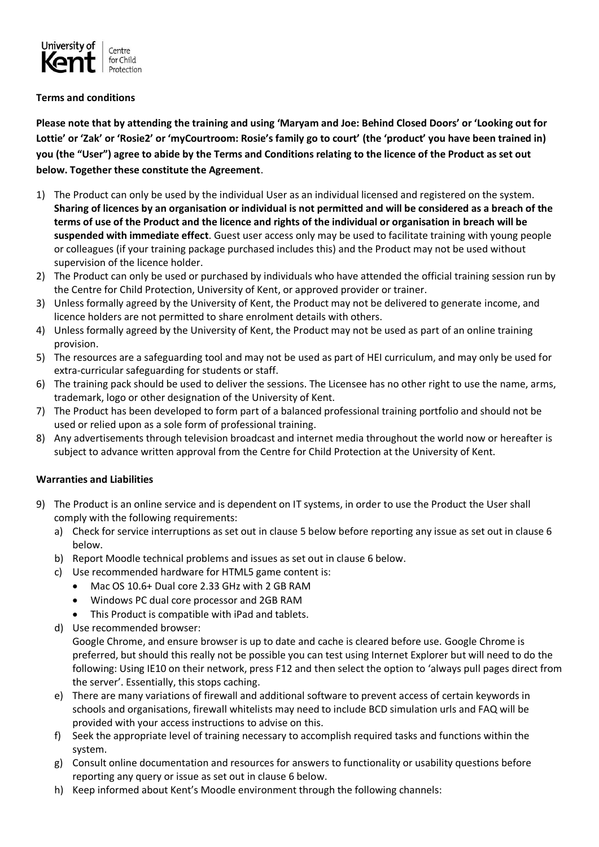

## **Terms and conditions**

**Please note that by attending the training and using 'Maryam and Joe: Behind Closed Doors' or 'Looking out for Lottie' or 'Zak' or 'Rosie2' or 'myCourtroom: Rosie's family go to court' (the 'product' you have been trained in) you (the "User") agree to abide by the Terms and Conditions relating to the licence of the Product as set out below. Together these constitute the Agreement**.

- 1) The Product can only be used by the individual User as an individual licensed and registered on the system. **Sharing of licences by an organisation or individual is not permitted and will be considered as a breach of the terms of use of the Product and the licence and rights of the individual or organisation in breach will be suspended with immediate effect**. Guest user access only may be used to facilitate training with young people or colleagues (if your training package purchased includes this) and the Product may not be used without supervision of the licence holder.
- 2) The Product can only be used or purchased by individuals who have attended the official training session run by the Centre for Child Protection, University of Kent, or approved provider or trainer.
- 3) Unless formally agreed by the University of Kent, the Product may not be delivered to generate income, and licence holders are not permitted to share enrolment details with others.
- 4) Unless formally agreed by the University of Kent, the Product may not be used as part of an online training provision.
- 5) The resources are a safeguarding tool and may not be used as part of HEI curriculum, and may only be used for extra-curricular safeguarding for students or staff.
- 6) The training pack should be used to deliver the sessions. The Licensee has no other right to use the name, arms, trademark, logo or other designation of the University of Kent.
- 7) The Product has been developed to form part of a balanced professional training portfolio and should not be used or relied upon as a sole form of professional training.
- 8) Any advertisements through television broadcast and internet media throughout the world now or hereafter is subject to advance written approval from the Centre for Child Protection at the University of Kent.

## **Warranties and Liabilities**

- 9) The Product is an online service and is dependent on IT systems, in order to use the Product the User shall comply with the following requirements:
	- a) Check for service interruptions as set out in clause 5 below before reporting any issue as set out in clause 6 below.
	- b) Report Moodle technical problems and issues as set out in clause 6 below.
	- c) Use recommended hardware for HTML5 game content is:
		- Mac OS 10.6+ Dual core 2.33 GHz with 2 GB RAM
		- Windows PC dual core processor and 2GB RAM
		- This Product is compatible with iPad and tablets.
	- d) Use recommended browser:

Google Chrome, and ensure browser is up to date and cache is cleared before use. Google Chrome is preferred, but should this really not be possible you can test using Internet Explorer but will need to do the following: Using IE10 on their network, press F12 and then select the option to 'always pull pages direct from the server'. Essentially, this stops caching.

- e) There are many variations of firewall and additional software to prevent access of certain keywords in schools and organisations, firewall whitelists may need to include BCD simulation urls and FAQ will be provided with your access instructions to advise on this.
- f) Seek the appropriate level of training necessary to accomplish required tasks and functions within the system.
- g) Consult online documentation and resources for answers to functionality or usability questions before reporting any query or issue as set out in clause 6 below.
- h) Keep informed about Kent's Moodle environment through the following channels: